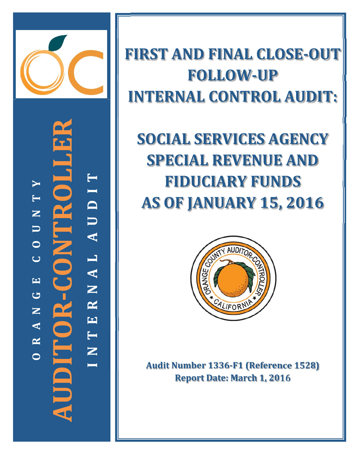

**‐CONTROLLER** Ō **T YI T**ITR **D NU U A O L C A EN** JDITOR-**GR AUDITOR NE A T R N OI**

**FIRST AND FINAL CLOSE‐OUT FOLLOW‐UP INTERNAL CONTROL AUDIT:**

**SOCIAL SERVICES AGENCY SPECIAL REVENUE AND FIDUCIARY FUNDS AS OF JANUARY 15, 2016**



**Audit Number 1336‐F1 (Reference 1528) Report Date: March 1, 2016**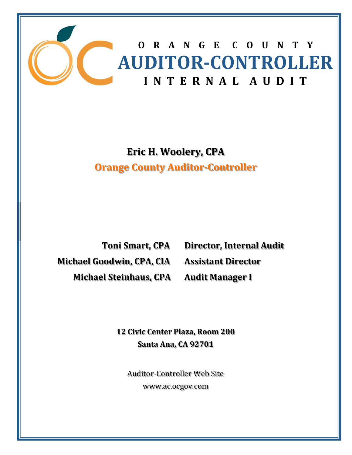

**Eric H. Woolery, CPA Orange County Auditor‐Controller**

**Toni Smart, CPA Michael Goodwin, CPA, CIA**  $Michael Steinhaus, CPA$ 

**Director, Internal Audit Assistant Director Audit Manager I**

**12 Civic Center Plaza, Room 200 Santa Ana, CA 92701**

Auditor-Controller Web Site www.ac.ocgov.com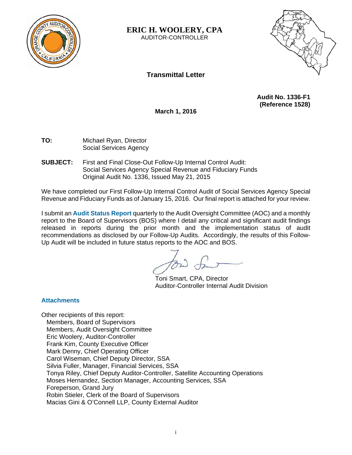

**ERIC H. WOOLERY, CPA**  AUDITOR-CONTROLLER



# **Transmittal Letter**

**Audit No. 1336-F1 (Reference 1528)** 

**March 1, 2016** 

**TO:** Michael Ryan, Director Social Services Agency

**SUBJECT:** First and Final Close-Out Follow-Up Internal Control Audit: Social Services Agency Special Revenue and Fiduciary Funds Original Audit No. 1336, Issued May 21, 2015

We have completed our First Follow-Up Internal Control Audit of Social Services Agency Special Revenue and Fiduciary Funds as of January 15, 2016. Our final report is attached for your review.

I submit an **Audit Status Report** quarterly to the Audit Oversight Committee (AOC) and a monthly report to the Board of Supervisors (BOS) where I detail any critical and significant audit findings released in reports during the prior month and the implementation status of audit recommendations as disclosed by our Follow-Up Audits. Accordingly, the results of this Follow-Up Audit will be included in future status reports to the AOC and BOS.

Toni Smart, CPA, Director Auditor-Controller Internal Audit Division

### **Attachments**

Other recipients of this report: Members, Board of Supervisors Members, Audit Oversight Committee Eric Woolery, Auditor-Controller Frank Kim, County Executive Officer Mark Denny, Chief Operating Officer Carol Wiseman, Chief Deputy Director, SSA Silvia Fuller, Manager, Financial Services, SSA Tonya Riley, Chief Deputy Auditor-Controller, Satellite Accounting Operations Moses Hernandez, Section Manager, Accounting Services, SSA Foreperson, Grand Jury Robin Stieler, Clerk of the Board of Supervisors Macias Gini & O'Connell LLP, County External Auditor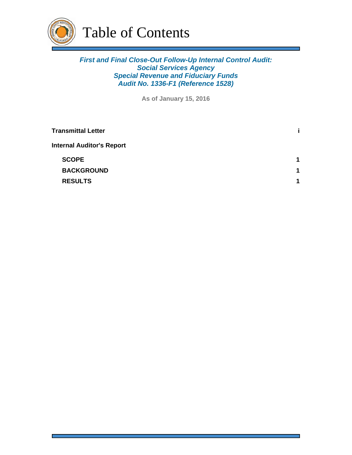

# *First and Final Close-Out Follow-Up Internal Control Audit: Social Services Agency Special Revenue and Fiduciary Funds Audit No. 1336-F1 (Reference 1528)*

**As of January 15, 2016**

| <b>Transmittal Letter</b>        |   |
|----------------------------------|---|
| <b>Internal Auditor's Report</b> |   |
| <b>SCOPE</b>                     | 1 |
| <b>BACKGROUND</b>                | 1 |
| <b>RESULTS</b>                   | 1 |
|                                  |   |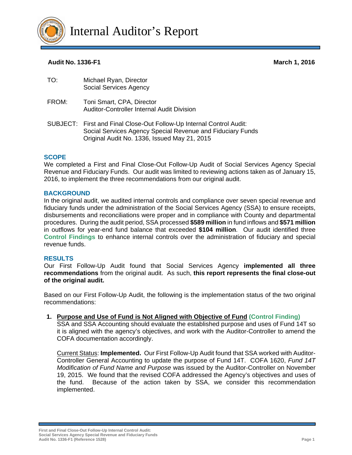

### **Audit No. 1336-F1 March 1, 2016**

| TO: | Michael Ryan, Director |
|-----|------------------------|
|     | Social Services Agency |
|     |                        |

- FROM: Toni Smart, CPA, Director Auditor-Controller Internal Audit Division
- SUBJECT: First and Final Close-Out Follow-Up Internal Control Audit: Social Services Agency Special Revenue and Fiduciary Funds Original Audit No. 1336, Issued May 21, 2015

#### **SCOPE**

We completed a First and Final Close-Out Follow-Up Audit of Social Services Agency Special Revenue and Fiduciary Funds. Our audit was limited to reviewing actions taken as of January 15, 2016, to implement the three recommendations from our original audit.

#### **BACKGROUND**

In the original audit, we audited internal controls and compliance over seven special revenue and fiduciary funds under the administration of the Social Services Agency (SSA) to ensure receipts, disbursements and reconciliations were proper and in compliance with County and departmental procedures. During the audit period, SSA processed **\$589 million** in fund inflows and **\$571 million** in outflows for year-end fund balance that exceeded **\$104 million**. Our audit identified three **Control Findings** to enhance internal controls over the administration of fiduciary and special revenue funds.

#### **RESULTS**

Our First Follow-Up Audit found that Social Services Agency **implemented all three recommendations** from the original audit. As such, **this report represents the final close-out of the original audit.** 

Based on our First Follow-Up Audit, the following is the implementation status of the two original recommendations:

#### **1. Purpose and Use of Fund is Not Aligned with Objective of Fund (Control Finding)**

SSA and SSA Accounting should evaluate the established purpose and uses of Fund 14T so it is aligned with the agency's objectives, and work with the Auditor-Controller to amend the COFA documentation accordingly.

Current Status: **Implemented.** Our First Follow-Up Audit found that SSA worked with Auditor-Controller General Accounting to update the purpose of Fund 14T. COFA 1620, *Fund 14T Modification of Fund Name and Purpose* was issued by the Auditor-Controller on November 19, 2015. We found that the revised COFA addressed the Agency's objectives and uses of the fund. Because of the action taken by SSA, we consider this recommendation implemented.